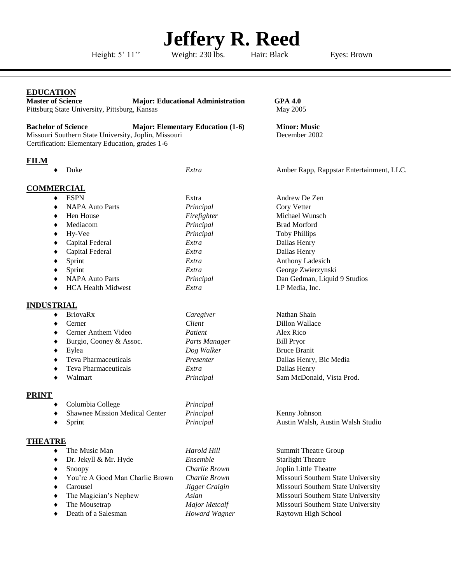# **Jeffery R. Reed**

Height: 5' 11'' Weight: 230 lbs. Hair: Black Eyes: Brown

| <b>EDUCATION</b><br><b>Master of Science</b>                                                                                                                                      | Pittsburg State University, Pittsburg, Kansas | <b>Major: Educational Administration</b> | <b>GPA 4.0</b><br>May 2005               |
|-----------------------------------------------------------------------------------------------------------------------------------------------------------------------------------|-----------------------------------------------|------------------------------------------|------------------------------------------|
| <b>Bachelor of Science</b><br><b>Major: Elementary Education (1-6)</b><br>Missouri Southern State University, Joplin, Missouri<br>Certification: Elementary Education, grades 1-6 |                                               |                                          | <b>Minor: Music</b><br>December 2002     |
| <b>FILM</b><br>٠                                                                                                                                                                  | Duke                                          | Extra                                    | Amber Rapp, Rappstar Entertainment, LLC. |
| <b>COMMERCIAL</b>                                                                                                                                                                 |                                               |                                          |                                          |
| ٠                                                                                                                                                                                 | <b>ESPN</b>                                   | Extra                                    | Andrew De Zen                            |
|                                                                                                                                                                                   | <b>NAPA Auto Parts</b>                        | Principal                                | Cory Vetter                              |
|                                                                                                                                                                                   | Hen House                                     | Firefighter                              | Michael Wunsch                           |
|                                                                                                                                                                                   | Mediacom                                      | Principal                                | <b>Brad Morford</b>                      |
|                                                                                                                                                                                   | Hy-Vee                                        | Principal                                | <b>Toby Phillips</b>                     |
|                                                                                                                                                                                   | Capital Federal                               | Extra                                    | Dallas Henry                             |
|                                                                                                                                                                                   | Capital Federal                               | Extra                                    | Dallas Henry                             |
|                                                                                                                                                                                   | Sprint                                        | Extra                                    | Anthony Ladesich                         |
|                                                                                                                                                                                   | Sprint                                        | Extra                                    | George Zwierzynski                       |
|                                                                                                                                                                                   | <b>NAPA Auto Parts</b>                        | Principal                                | Dan Gedman, Liquid 9 Studios             |
| ٠                                                                                                                                                                                 | <b>HCA Health Midwest</b>                     | Extra                                    | LP Media, Inc.                           |
| <b>INDUSTRIAL</b>                                                                                                                                                                 |                                               |                                          |                                          |
| ٠                                                                                                                                                                                 | <b>BriovaRx</b>                               | Caregiver                                | Nathan Shain                             |
| ٠                                                                                                                                                                                 | Cerner                                        | Client                                   | Dillon Wallace                           |
| ٠                                                                                                                                                                                 | Cerner Anthem Video                           | Patient                                  | Alex Rico                                |
|                                                                                                                                                                                   | Burgio, Cooney & Assoc.                       | Parts Manager                            | <b>Bill Pryor</b>                        |
| ٠                                                                                                                                                                                 | Eylea                                         | Dog Walker                               | <b>Bruce Branit</b>                      |
|                                                                                                                                                                                   | <b>Teva Pharmaceuticals</b>                   | Presenter                                | Dallas Henry, Bic Media                  |
|                                                                                                                                                                                   | <b>Teva Pharmaceuticals</b>                   | Extra                                    | Dallas Henry                             |
|                                                                                                                                                                                   | Walmart                                       | Principal                                | Sam McDonald, Vista Prod.                |
| <b>PRINT</b>                                                                                                                                                                      |                                               |                                          |                                          |
|                                                                                                                                                                                   | Columbia College                              | Principal                                |                                          |
|                                                                                                                                                                                   | <b>Shawnee Mission Medical Center</b>         | Principal                                | Kenny Johnson                            |
|                                                                                                                                                                                   | Sprint                                        | Principal                                | Austin Walsh, Austin Walsh Studio        |
| <b>THEATRE</b>                                                                                                                                                                    |                                               |                                          |                                          |
| ٠                                                                                                                                                                                 | The Music Man                                 | Harold Hill                              | <b>Summit Theatre Group</b>              |
|                                                                                                                                                                                   | Dr. Jekyll & Mr. Hyde                         | Ensemble                                 | <b>Starlight Theatre</b>                 |
|                                                                                                                                                                                   | Snoopy                                        | Charlie Brown                            | Joplin Little Theatre                    |
|                                                                                                                                                                                   | You're A Good Man Charlie Brown               | Charlie Brown                            | Missouri Southern State University       |
|                                                                                                                                                                                   | Carousel                                      | Jigger Craigin                           | Missouri Southern State University       |
|                                                                                                                                                                                   | The Magician's Nephew                         | Aslan                                    | Missouri Southern State University       |

- The Mousetrap *Major Metcalf* Missouri Southern State University
- Death of a Salesman *Howard Wagner* Raytown High School